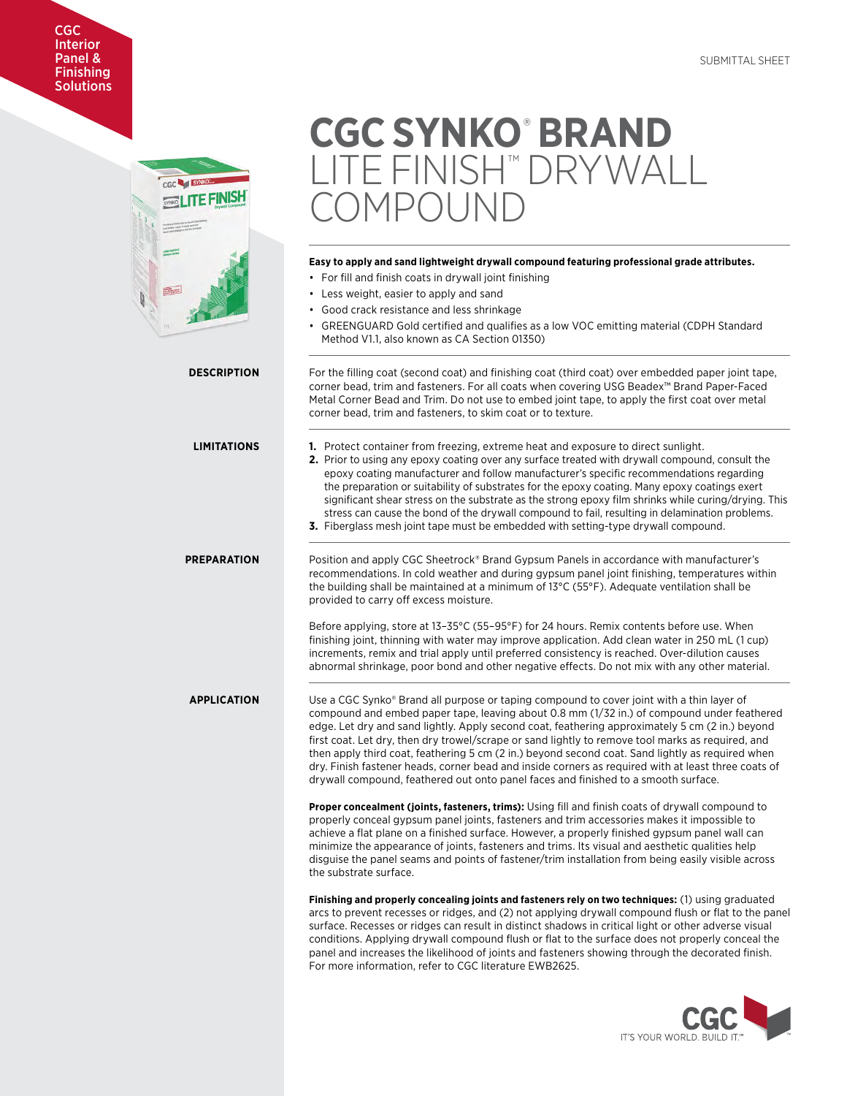# CGC Interior Panel & **Finishing Solutions**



# **CGC SYNKO**®  **BRAND**  LITE FINISH™ DRYWALL MPOLIND

# **Easy to apply and sand lightweight drywall compound featuring professional grade attributes.**

- For fill and finish coats in drywall joint finishing
- Less weight, easier to apply and sand
- Good crack resistance and less shrinkage
- GREENGUARD Gold certified and qualifies as a low VOC emitting material (CDPH Standard Method V1.1, also known as CA Section 01350)

**DESCRIPTION** For the filling coat (second coat) and finishing coat (third coat) over embedded paper joint tape, corner bead, trim and fasteners. For all coats when covering USG Beadex™ Brand Paper-Faced Metal Corner Bead and Trim. Do not use to embed joint tape, to apply the first coat over metal corner bead, trim and fasteners, to skim coat or to texture. **LIMITATIONS 1.** Protect container from freezing, extreme heat and exposure to direct sunlight. **2.** Prior to using any epoxy coating over any surface treated with drywall compound, consult the epoxy coating manufacturer and follow manufacturer's specific recommendations regarding the preparation or suitability of substrates for the epoxy coating. Many epoxy coatings exert significant shear stress on the substrate as the strong epoxy film shrinks while curing/drying. This stress can cause the bond of the drywall compound to fail, resulting in delamination problems. **3.** Fiberglass mesh joint tape must be embedded with setting-type drywall compound. **PREPARATION** Position and apply CGC Sheetrock® Brand Gypsum Panels in accordance with manufacturer's recommendations. In cold weather and during gypsum panel joint finishing, temperatures within the building shall be maintained at a minimum of 13°C (55°F). Adequate ventilation shall be provided to carry off excess moisture. Before applying, store at 13–35°C (55–95°F) for 24 hours. Remix contents before use. When finishing joint, thinning with water may improve application. Add clean water in 250 mL (1 cup) increments, remix and trial apply until preferred consistency is reached. Over-dilution causes abnormal shrinkage, poor bond and other negative effects. Do not mix with any other material. **APPLICATION** Use a CGC Synko® Brand all purpose or taping compound to cover joint with a thin layer of compound and embed paper tape, leaving about 0.8 mm (1/32 in.) of compound under feathered edge. Let dry and sand lightly. Apply second coat, feathering approximately 5 cm (2 in.) beyond first coat. Let dry, then dry trowel/scrape or sand lightly to remove tool marks as required, and then apply third coat, feathering 5 cm (2 in.) beyond second coat. Sand lightly as required when dry. Finish fastener heads, corner bead and inside corners as required with at least three coats of drywall compound, feathered out onto panel faces and finished to a smooth surface. **Proper concealment (joints, fasteners, trims):** Using fill and finish coats of drywall compound to properly conceal gypsum panel joints, fasteners and trim accessories makes it impossible to achieve a flat plane on a finished surface. However, a properly finished gypsum panel wall can minimize the appearance of joints, fasteners and trims. Its visual and aesthetic qualities help disguise the panel seams and points of fastener/trim installation from being easily visible across the substrate surface. **Finishing and properly concealing joints and fasteners rely on two techniques:** (1) using graduated arcs to prevent recesses or ridges, and (2) not applying drywall compound flush or flat to the panel surface. Recesses or ridges can result in distinct shadows in critical light or other adverse visual conditions. Applying drywall compound flush or flat to the surface does not properly conceal the panel and increases the likelihood of joints and fasteners showing through the decorated finish. For more information, refer to CGC literature EWB2625.